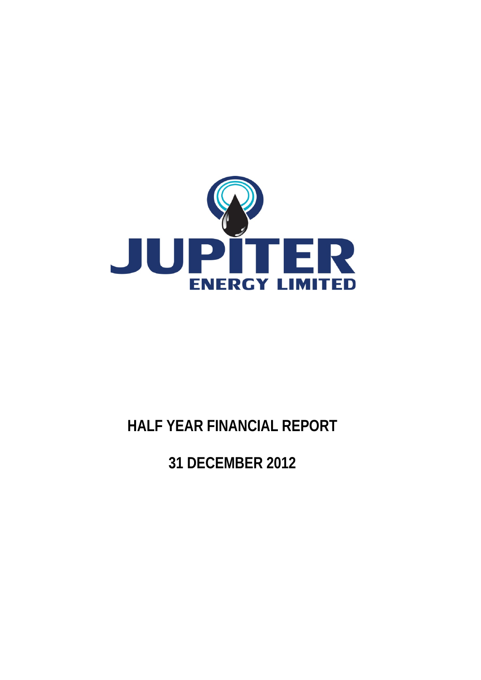

# **HALF YEAR FINANCIAL REPORT**

**31 DECEMBER 2012**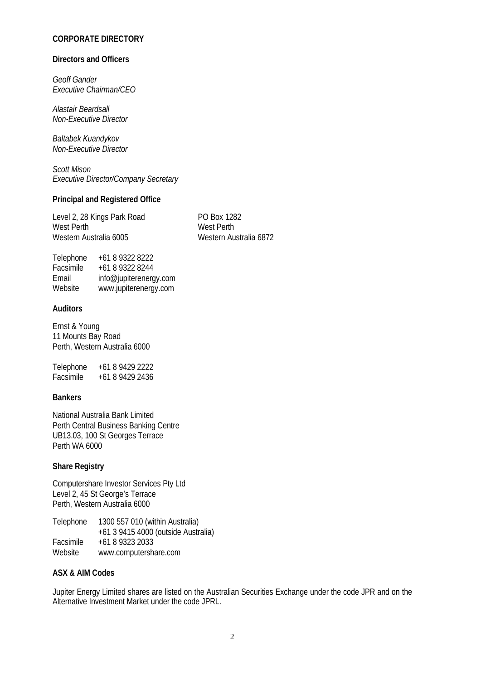# **CORPORATE DIRECTORY**

#### **Directors and Officers**

*Geoff Gander Executive Chairman/CEO*

*Alastair Beardsall Non-Executive Director*

*Baltabek Kuandykov Non-Executive Director*

*Scott Mison Executive Director/Company Secretary* 

#### **Principal and Registered Office**

Level 2, 28 Kings Park Road<br>
West Perth Perth<br>
West Perth West Perth<br>Western Australia 6005

Western Australia 6872

| Telephone | +61 8 9322 8222        |
|-----------|------------------------|
| Facsimile | +61 8 9322 8244        |
| Email     | info@jupiterenergy.com |
| Website   | www.jupiterenergy.com  |

### **Auditors**

Ernst & Young 11 Mounts Bay Road Perth, Western Australia 6000

Telephone +61 8 9429 2222<br>Facsimile +61 8 9429 2436 Facsimile +61 8 9429 2436

#### **Bankers**

National Australia Bank Limited Perth Central Business Banking Centre UB13.03, 100 St Georges Terrace Perth WA 6000

#### **Share Registry**

Computershare Investor Services Pty Ltd Level 2, 45 St George's Terrace Perth, Western Australia 6000

Telephone 1300 557 010 (within Australia) +61 3 9415 4000 (outside Australia) Facsimile +61 8 9323 2033<br>Website www.computersh www.computershare.com

#### **ASX & AIM Codes**

Jupiter Energy Limited shares are listed on the Australian Securities Exchange under the code JPR and on the Alternative Investment Market under the code JPRL.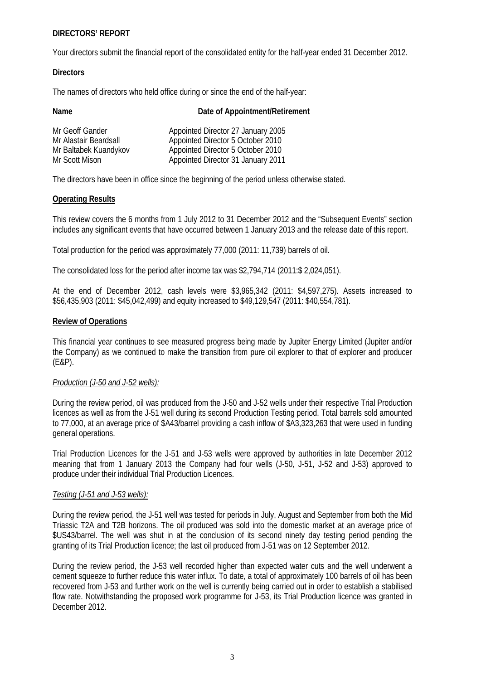#### **DIRECTORS' REPORT**

Your directors submit the financial report of the consolidated entity for the half-year ended 31 December 2012.

#### **Directors**

The names of directors who held office during or since the end of the half-year:

| Date of Appointment/Retirement     |
|------------------------------------|
| Appointed Director 27 January 2005 |
| Appointed Director 5 October 2010  |
| Appointed Director 5 October 2010  |
| Appointed Director 31 January 2011 |
|                                    |

The directors have been in office since the beginning of the period unless otherwise stated.

### **Operating Results**

This review covers the 6 months from 1 July 2012 to 31 December 2012 and the "Subsequent Events" section includes any significant events that have occurred between 1 January 2013 and the release date of this report.

Total production for the period was approximately 77,000 (2011: 11,739) barrels of oil.

The consolidated loss for the period after income tax was \$2,794,714 (2011:\$ 2,024,051).

At the end of December 2012, cash levels were \$3,965,342 (2011: \$4,597,275). Assets increased to \$56,435,903 (2011: \$45,042,499) and equity increased to \$49,129,547 (2011: \$40,554,781).

### **Review of Operations**

This financial year continues to see measured progress being made by Jupiter Energy Limited (Jupiter and/or the Company) as we continued to make the transition from pure oil explorer to that of explorer and producer (E&P).

# *Production (J-50 and J-52 wells):*

During the review period, oil was produced from the J-50 and J-52 wells under their respective Trial Production licences as well as from the J-51 well during its second Production Testing period. Total barrels sold amounted to 77,000, at an average price of \$A43/barrel providing a cash inflow of \$A3,323,263 that were used in funding general operations.

Trial Production Licences for the J-51 and J-53 wells were approved by authorities in late December 2012 meaning that from 1 January 2013 the Company had four wells (J-50, J-51, J-52 and J-53) approved to produce under their individual Trial Production Licences.

# *Testing (J-51 and J-53 wells):*

During the review period, the J-51 well was tested for periods in July, August and September from both the Mid Triassic T2A and T2B horizons. The oil produced was sold into the domestic market at an average price of \$US43/barrel. The well was shut in at the conclusion of its second ninety day testing period pending the granting of its Trial Production licence; the last oil produced from J-51 was on 12 September 2012.

During the review period, the J-53 well recorded higher than expected water cuts and the well underwent a cement squeeze to further reduce this water influx. To date, a total of approximately 100 barrels of oil has been recovered from J-53 and further work on the well is currently being carried out in order to establish a stabilised flow rate. Notwithstanding the proposed work programme for J-53, its Trial Production licence was granted in December 2012.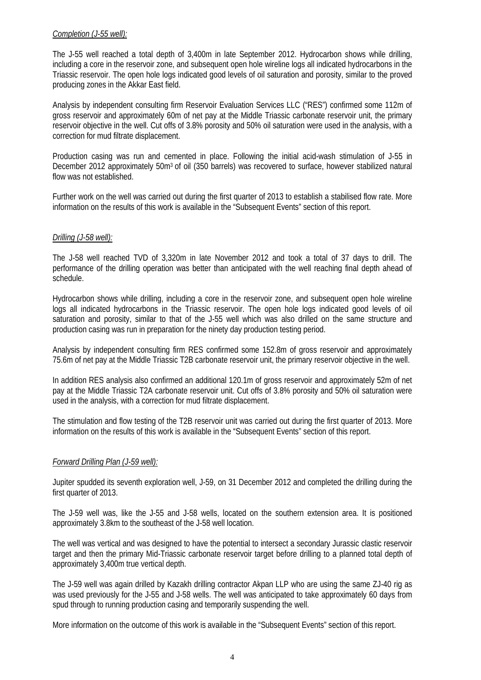#### *Completion (J-55 well):*

The J-55 well reached a total depth of 3,400m in late September 2012. Hydrocarbon shows while drilling, including a core in the reservoir zone, and subsequent open hole wireline logs all indicated hydrocarbons in the Triassic reservoir. The open hole logs indicated good levels of oil saturation and porosity, similar to the proved producing zones in the Akkar East field.

Analysis by independent consulting firm Reservoir Evaluation Services LLC ("RES") confirmed some 112m of gross reservoir and approximately 60m of net pay at the Middle Triassic carbonate reservoir unit, the primary reservoir objective in the well. Cut offs of 3.8% porosity and 50% oil saturation were used in the analysis, with a correction for mud filtrate displacement.

Production casing was run and cemented in place. Following the initial acid-wash stimulation of J-55 in December 2012 approximately 50m<sup>3</sup> of oil (350 barrels) was recovered to surface, however stabilized natural flow was not established.

Further work on the well was carried out during the first quarter of 2013 to establish a stabilised flow rate. More information on the results of this work is available in the "Subsequent Events" section of this report.

### *Drilling (J-58 well):*

The J-58 well reached TVD of 3,320m in late November 2012 and took a total of 37 days to drill. The performance of the drilling operation was better than anticipated with the well reaching final depth ahead of schedule.

Hydrocarbon shows while drilling, including a core in the reservoir zone, and subsequent open hole wireline logs all indicated hydrocarbons in the Triassic reservoir. The open hole logs indicated good levels of oil saturation and porosity, similar to that of the J-55 well which was also drilled on the same structure and production casing was run in preparation for the ninety day production testing period.

Analysis by independent consulting firm RES confirmed some 152.8m of gross reservoir and approximately 75.6m of net pay at the Middle Triassic T2B carbonate reservoir unit, the primary reservoir objective in the well.

In addition RES analysis also confirmed an additional 120.1m of gross reservoir and approximately 52m of net pay at the Middle Triassic T2A carbonate reservoir unit. Cut offs of 3.8% porosity and 50% oil saturation were used in the analysis, with a correction for mud filtrate displacement.

The stimulation and flow testing of the T2B reservoir unit was carried out during the first quarter of 2013. More information on the results of this work is available in the "Subsequent Events" section of this report.

#### *Forward Drilling Plan (J-59 well):*

Jupiter spudded its seventh exploration well, J-59, on 31 December 2012 and completed the drilling during the first quarter of 2013.

The J-59 well was, like the J-55 and J-58 wells, located on the southern extension area. It is positioned approximately 3.8km to the southeast of the J-58 well location.

The well was vertical and was designed to have the potential to intersect a secondary Jurassic clastic reservoir target and then the primary Mid-Triassic carbonate reservoir target before drilling to a planned total depth of approximately 3,400m true vertical depth.

The J-59 well was again drilled by Kazakh drilling contractor Akpan LLP who are using the same ZJ-40 rig as was used previously for the J-55 and J-58 wells. The well was anticipated to take approximately 60 days from spud through to running production casing and temporarily suspending the well.

More information on the outcome of this work is available in the "Subsequent Events" section of this report.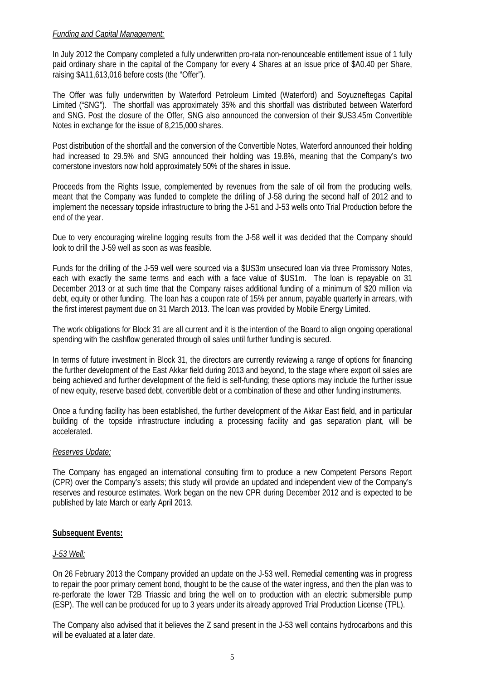## *Funding and Capital Management:*

In July 2012 the Company completed a fully underwritten pro-rata non-renounceable entitlement issue of 1 fully paid ordinary share in the capital of the Company for every 4 Shares at an issue price of \$A0.40 per Share, raising \$A11,613,016 before costs (the "Offer").

The Offer was fully underwritten by Waterford Petroleum Limited (Waterford) and Soyuzneftegas Capital Limited ("SNG"). The shortfall was approximately 35% and this shortfall was distributed between Waterford and SNG. Post the closure of the Offer, SNG also announced the conversion of their \$US3.45m Convertible Notes in exchange for the issue of 8,215,000 shares.

Post distribution of the shortfall and the conversion of the Convertible Notes, Waterford announced their holding had increased to 29.5% and SNG announced their holding was 19.8%, meaning that the Company's two cornerstone investors now hold approximately 50% of the shares in issue.

Proceeds from the Rights Issue, complemented by revenues from the sale of oil from the producing wells, meant that the Company was funded to complete the drilling of J-58 during the second half of 2012 and to implement the necessary topside infrastructure to bring the J-51 and J-53 wells onto Trial Production before the end of the year.

Due to very encouraging wireline logging results from the J-58 well it was decided that the Company should look to drill the J-59 well as soon as was feasible.

Funds for the drilling of the J-59 well were sourced via a \$US3m unsecured loan via three Promissory Notes, each with exactly the same terms and each with a face value of \$US1m. The loan is repayable on 31 December 2013 or at such time that the Company raises additional funding of a minimum of \$20 million via debt, equity or other funding. The loan has a coupon rate of 15% per annum, payable quarterly in arrears, with the first interest payment due on 31 March 2013. The loan was provided by Mobile Energy Limited.

The work obligations for Block 31 are all current and it is the intention of the Board to align ongoing operational spending with the cashflow generated through oil sales until further funding is secured.

In terms of future investment in Block 31, the directors are currently reviewing a range of options for financing the further development of the East Akkar field during 2013 and beyond, to the stage where export oil sales are being achieved and further development of the field is self-funding; these options may include the further issue of new equity, reserve based debt, convertible debt or a combination of these and other funding instruments.

Once a funding facility has been established, the further development of the Akkar East field, and in particular building of the topside infrastructure including a processing facility and gas separation plant, will be accelerated.

# *Reserves Update:*

The Company has engaged an international consulting firm to produce a new Competent Persons Report (CPR) over the Company's assets; this study will provide an updated and independent view of the Company's reserves and resource estimates. Work began on the new CPR during December 2012 and is expected to be published by late March or early April 2013.

# **Subsequent Events:**

# *J-53 Well:*

On 26 February 2013 the Company provided an update on the J-53 well. Remedial cementing was in progress to repair the poor primary cement bond, thought to be the cause of the water ingress, and then the plan was to re-perforate the lower T2B Triassic and bring the well on to production with an electric submersible pump (ESP). The well can be produced for up to 3 years under its already approved Trial Production License (TPL).

The Company also advised that it believes the Z sand present in the J-53 well contains hydrocarbons and this will be evaluated at a later date.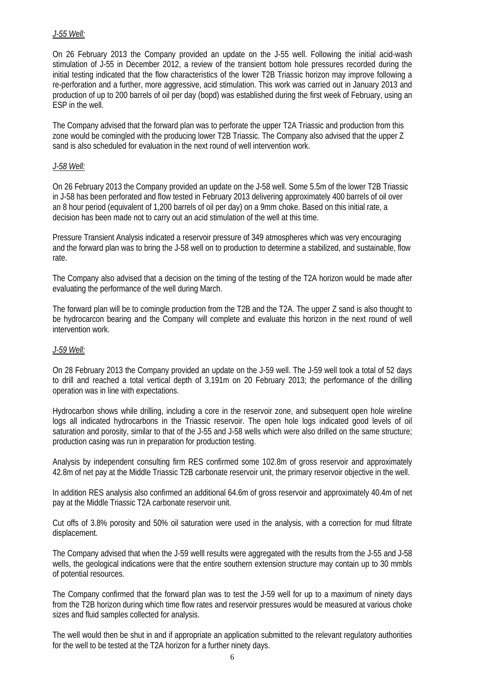## *J-55 Well:*

On 26 February 2013 the Company provided an update on the J-55 well. Following the initial acid-wash stimulation of J-55 in December 2012, a review of the transient bottom hole pressures recorded during the initial testing indicated that the flow characteristics of the lower T2B Triassic horizon may improve following a re-perforation and a further, more aggressive, acid stimulation. This work was carried out in January 2013 and production of up to 200 barrels of oil per day (bopd) was established during the first week of February, using an ESP in the well.

The Company advised that the forward plan was to perforate the upper T2A Triassic and production from this zone would be comingled with the producing lower T2B Triassic. The Company also advised that the upper Z sand is also scheduled for evaluation in the next round of well intervention work.

#### *J-58 Well:*

On 26 February 2013 the Company provided an update on the J-58 well. Some 5.5m of the lower T2B Triassic in J-58 has been perforated and flow tested in February 2013 delivering approximately 400 barrels of oil over an 8 hour period (equivalent of 1,200 barrels of oil per day) on a 9mm choke. Based on this initial rate, a decision has been made not to carry out an acid stimulation of the well at this time.

Pressure Transient Analysis indicated a reservoir pressure of 349 atmospheres which was very encouraging and the forward plan was to bring the J-58 well on to production to determine a stabilized, and sustainable, flow rate.

The Company also advised that a decision on the timing of the testing of the T2A horizon would be made after evaluating the performance of the well during March.

The forward plan will be to comingle production from the T2B and the T2A. The upper Z sand is also thought to be hydrocarcon bearing and the Company will complete and evaluate this horizon in the next round of well intervention work.

# *J-59 Well:*

On 28 February 2013 the Company provided an update on the J-59 well. The J-59 well took a total of 52 days to drill and reached a total vertical depth of 3,191m on 20 February 2013; the performance of the drilling operation was in line with expectations.

Hydrocarbon shows while drilling, including a core in the reservoir zone, and subsequent open hole wireline logs all indicated hydrocarbons in the Triassic reservoir. The open hole logs indicated good levels of oil saturation and porosity, similar to that of the J-55 and J-58 wells which were also drilled on the same structure; production casing was run in preparation for production testing.

Analysis by independent consulting firm RES confirmed some 102.8m of gross reservoir and approximately 42.8m of net pay at the Middle Triassic T2B carbonate reservoir unit, the primary reservoir objective in the well.

In addition RES analysis also confirmed an additional 64.6m of gross reservoir and approximately 40.4m of net pay at the Middle Triassic T2A carbonate reservoir unit.

Cut offs of 3.8% porosity and 50% oil saturation were used in the analysis, with a correction for mud filtrate displacement.

The Company advised that when the J-59 welll results were aggregated with the results from the J-55 and J-58 wells, the geological indications were that the entire southern extension structure may contain up to 30 mmbls of potential resources.

The Company confirmed that the forward plan was to test the J-59 well for up to a maximum of ninety days from the T2B horizon during which time flow rates and reservoir pressures would be measured at various choke sizes and fluid samples collected for analysis.

The well would then be shut in and if appropriate an application submitted to the relevant regulatory authorities for the well to be tested at the T2A horizon for a further ninety days.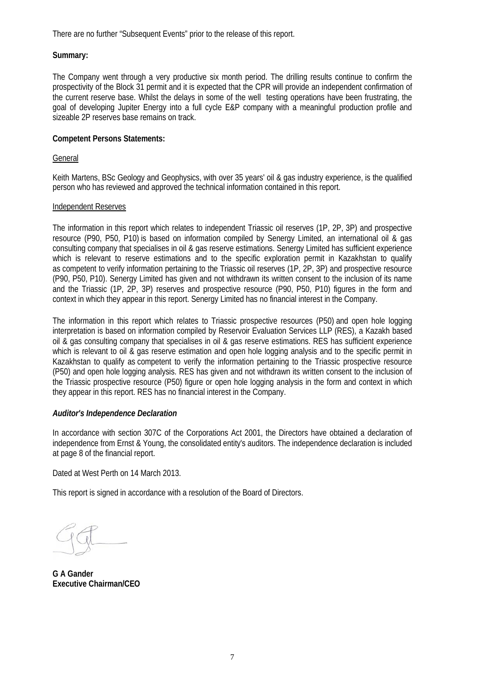There are no further "Subsequent Events" prior to the release of this report.

## **Summary:**

The Company went through a very productive six month period. The drilling results continue to confirm the prospectivity of the Block 31 permit and it is expected that the CPR will provide an independent confirmation of the current reserve base. Whilst the delays in some of the well testing operations have been frustrating, the goal of developing Jupiter Energy into a full cycle E&P company with a meaningful production profile and sizeable 2P reserves base remains on track.

### **Competent Persons Statements:**

General

Keith Martens, BSc Geology and Geophysics, with over 35 years' oil & gas industry experience, is the qualified person who has reviewed and approved the technical information contained in this report.

#### Independent Reserves

The information in this report which relates to independent Triassic oil reserves (1P, 2P, 3P) and prospective resource (P90, P50, P10) is based on information compiled by Senergy Limited, an international oil & gas consulting company that specialises in oil & gas reserve estimations. Senergy Limited has sufficient experience which is relevant to reserve estimations and to the specific exploration permit in Kazakhstan to qualify as competent to verify information pertaining to the Triassic oil reserves (1P, 2P, 3P) and prospective resource (P90, P50, P10). Senergy Limited has given and not withdrawn its written consent to the inclusion of its name and the Triassic (1P, 2P, 3P) reserves and prospective resource (P90, P50, P10) figures in the form and context in which they appear in this report. Senergy Limited has no financial interest in the Company.

The information in this report which relates to Triassic prospective resources (P50) and open hole logging interpretation is based on information compiled by Reservoir Evaluation Services LLP (RES), a Kazakh based oil & gas consulting company that specialises in oil & gas reserve estimations. RES has sufficient experience which is relevant to oil & gas reserve estimation and open hole logging analysis and to the specific permit in Kazakhstan to qualify as competent to verify the information pertaining to the Triassic prospective resource (P50) and open hole logging analysis. RES has given and not withdrawn its written consent to the inclusion of the Triassic prospective resource (P50) figure or open hole logging analysis in the form and context in which they appear in this report. RES has no financial interest in the Company.

# *Auditor's Independence Declaration*

In accordance with section 307C of the Corporations Act 2001, the Directors have obtained a declaration of independence from Ernst & Young, the consolidated entity's auditors. The independence declaration is included at page 8 of the financial report.

Dated at West Perth on 14 March 2013.

This report is signed in accordance with a resolution of the Board of Directors.

**G A Gander Executive Chairman/CEO**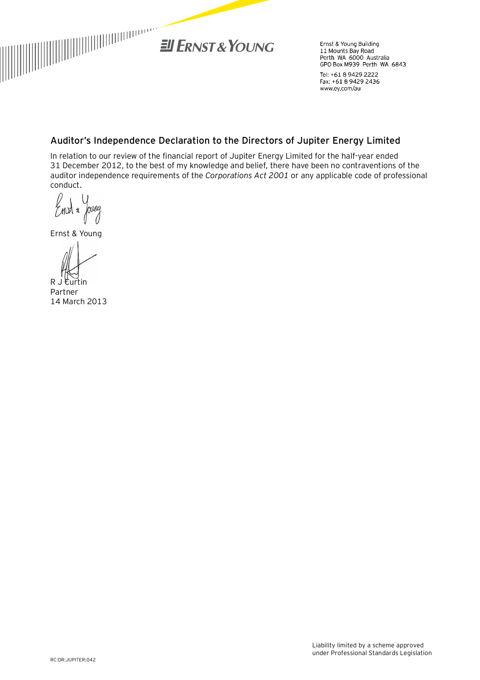

Ernst & Young Building Errist & Fourig Bullaring<br>11 Mounts Bay Road<br>Perth WA 6000 Australia GPO Box M939 Perth WA 6843

Tel: +61 8 9429 2222 Fax: +61 8 9429 2436 www.ey.com/au

# **Auditor's Independence Declaration to the Directors of Jupiter Energy Limited**

In relation to our review of the financial report of Jupiter Energy Limited for the half-year ended 31 December 2012, to the best of my knowledge and belief, there have been no contraventions of the auditor independence requirements of the *Corporations Act 2001* or any applicable code of professional conduct.

nury  $7$  mbt  $*$ 

Ernst & Young

R J Curtin Partner 14 March 2013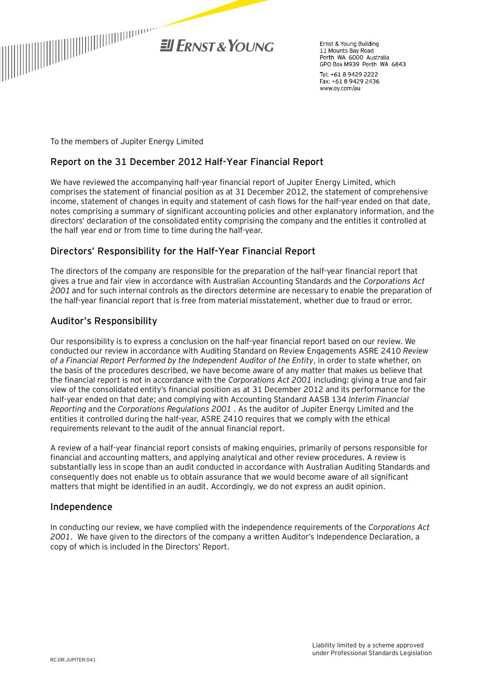

Frnst & Young Building 11 Mounts Bay Road Perth WA 6000 Australia GPO Box M939 Perth WA 6843

Tel: +61 8 9429 2222 Fax: +61 8 9429 2436 www.ey.com/au

To the members of Jupiter Energy Limited

# **Report on the 31 December 2012 Half-Year Financial Report**

We have reviewed the accompanying half-year financial report of Jupiter Energy Limited, which comprises the statement of financial position as at 31 December 2012, the statement of comprehensive income, statement of changes in equity and statement of cash flows for the half-year ended on that date, notes comprising a summary of significant accounting policies and other explanatory information, and the directors' declaration of the consolidated entity comprising the company and the entities it controlled at the half year end or from time to time during the half-year.

# **Directors' Responsibility for the Half-Year Financial Report**

The directors of the company are responsible for the preparation of the half-year financial report that gives a true and fair view in accordance with Australian Accounting Standards and the *Corporations Act 2001* and for such internal controls as the directors determine are necessary to enable the preparation of the half-year financial report that is free from material misstatement, whether due to fraud or error.

# **Auditor's Responsibility**

Our responsibility is to express a conclusion on the half-year financial report based on our review. We conducted our review in accordance with Auditing Standard on Review Engagements ASRE 2410 *Review of a Financial Report Performed by the Independent Auditor of the Entity*, in order to state whether, on the basis of the procedures described, we have become aware of any matter that makes us believe that the financial report is not in accordance with the *Corporations Act 2001* including: giving a true and fair view of the consolidated entity's financial position as at 31 December 2012 and its performance for the half-year ended on that date; and complying with Accounting Standard AASB 134 *Interim Financial Reporting* and the *Corporations Regulations 2001* . As the auditor of Jupiter Energy Limited and the entities it controlled during the half-year, ASRE 2410 requires that we comply with the ethical requirements relevant to the audit of the annual financial report.

A review of a half-year financial report consists of making enquiries, primarily of persons responsible for financial and accounting matters, and applying analytical and other review procedures. A review is substantially less in scope than an audit conducted in accordance with Australian Auditing Standards and consequently does not enable us to obtain assurance that we would become aware of all significant matters that might be identified in an audit. Accordingly, we do not express an audit opinion.

# **Independence**

In conducting our review, we have complied with the independence requirements of the *Corporations Act 2001*. We have given to the directors of the company a written Auditor's Independence Declaration, a copy of which is included in the Directors' Report.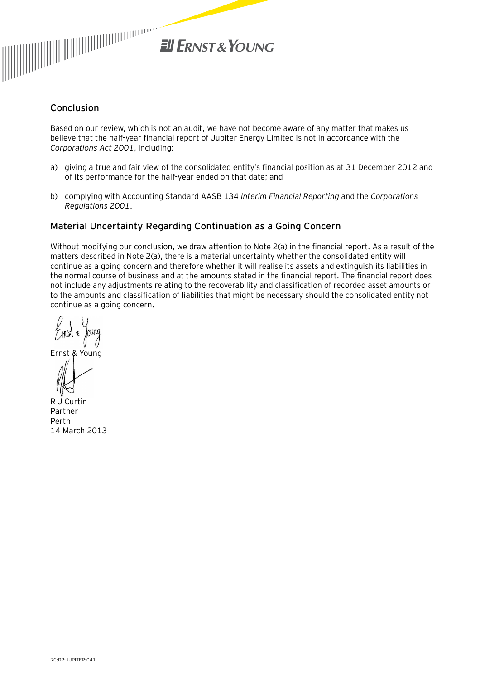

# **Conclusion**

Based on our review, which is not an audit, we have not become aware of any matter that makes us believe that the half-year financial report of Jupiter Energy Limited is not in accordance with the *Corporations Act 2001*, including:

- a) giving a true and fair view of the consolidated entity's financial position as at 31 December 2012 and of its performance for the half-year ended on that date; and
- b) complying with Accounting Standard AASB 134 *Interim Financial Reporting* and the *Corporations Regulations 2001*.

# Material Uncertainty Regarding Continuation as a Going Concern

Without modifying our conclusion, we draw attention to Note 2(a) in the financial report. As a result of the matters described in Note 2(a), there is a material uncertainty whether the consolidated entity will continue as a going concern and therefore whether it will realise its assets and extinguish its liabilities in the normal course of business and at the amounts stated in the financial report. The financial report does not include any adjustments relating to the recoverability and classification of recorded asset amounts or to the amounts and classification of liabilities that might be necessary should the consolidated entity not continue as a going concern.

Ernst & Young

R J Curtin Partner Perth 14 March 2013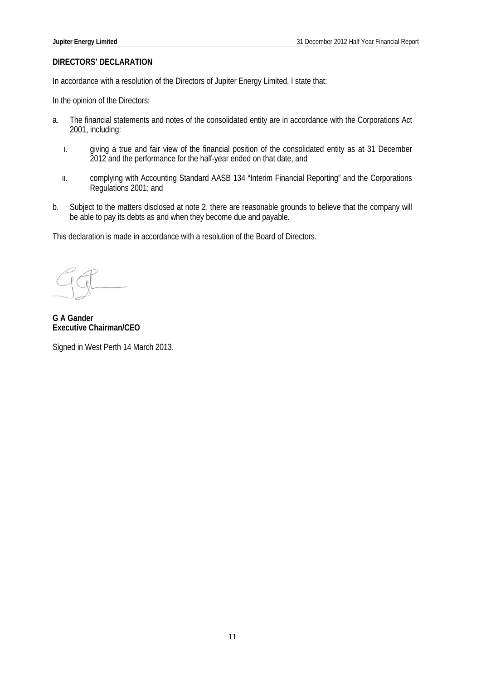#### **DIRECTORS' DECLARATION**

In accordance with a resolution of the Directors of Jupiter Energy Limited, I state that:

In the opinion of the Directors:

- a. The financial statements and notes of the consolidated entity are in accordance with the Corporations Act 2001, including:
	- I. giving a true and fair view of the financial position of the consolidated entity as at 31 December 2012 and the performance for the half-year ended on that date, and
	- II. complying with Accounting Standard AASB 134 "Interim Financial Reporting" and the Corporations Regulations 2001; and
- b. Subject to the matters disclosed at note 2, there are reasonable grounds to believe that the company will be able to pay its debts as and when they become due and payable.

This declaration is made in accordance with a resolution of the Board of Directors.

**G A Gander Executive Chairman/CEO**

Signed in West Perth 14 March 2013.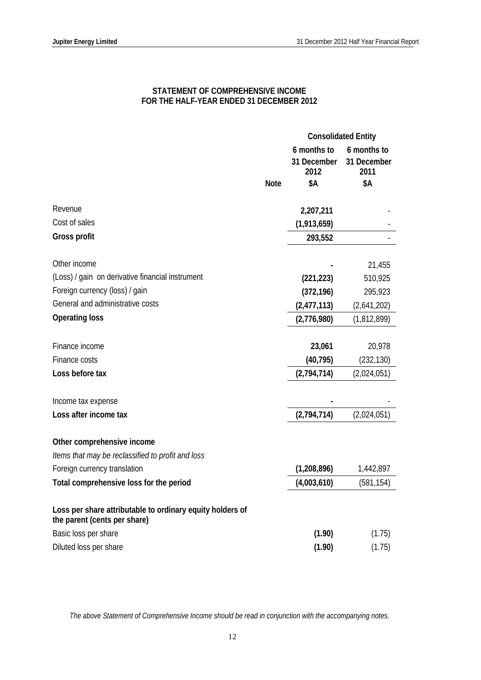## **STATEMENT OF COMPREHENSIVE INCOME FOR THE HALF-YEAR ENDED 31 DECEMBER 2012**

|                                                                                           |             | <b>Consolidated Entity</b>         |                                    |
|-------------------------------------------------------------------------------------------|-------------|------------------------------------|------------------------------------|
|                                                                                           |             | 6 months to<br>31 December<br>2012 | 6 months to<br>31 December<br>2011 |
|                                                                                           | <b>Note</b> | \$Α                                | \$Α                                |
| Revenue                                                                                   |             | 2,207,211                          |                                    |
| Cost of sales                                                                             |             | (1,913,659)                        |                                    |
| Gross profit                                                                              |             | 293,552                            |                                    |
|                                                                                           |             |                                    |                                    |
| Other income                                                                              |             |                                    | 21,455                             |
| (Loss) / gain on derivative financial instrument                                          |             | (221, 223)                         | 510,925                            |
| Foreign currency (loss) / gain                                                            |             | (372, 196)                         | 295,923                            |
| General and administrative costs                                                          |             | (2,477,113)                        | (2,641,202)                        |
| <b>Operating loss</b>                                                                     |             | (2,776,980)                        | (1,812,899)                        |
|                                                                                           |             |                                    |                                    |
| Finance income                                                                            |             | 23,061                             | 20,978                             |
| Finance costs                                                                             |             | (40, 795)                          | (232, 130)                         |
| Loss before tax                                                                           |             | (2,794,714)                        | (2,024,051)                        |
| Income tax expense                                                                        |             |                                    |                                    |
| Loss after income tax                                                                     |             | (2,794,714)                        | (2,024,051)                        |
|                                                                                           |             |                                    |                                    |
| Other comprehensive income                                                                |             |                                    |                                    |
| Items that may be reclassified to profit and loss                                         |             |                                    |                                    |
| Foreign currency translation                                                              |             | (1, 208, 896)                      | 1,442,897                          |
| Total comprehensive loss for the period                                                   |             | (4,003,610)                        | (581, 154)                         |
| Loss per share attributable to ordinary equity holders of<br>the parent (cents per share) |             |                                    |                                    |
| Basic loss per share                                                                      |             | (1.90)                             | (1.75)                             |
| Diluted loss per share                                                                    |             | (1.90)                             | (1.75)                             |

*The above Statement of Comprehensive Income should be read in conjunction with the accompanying notes.*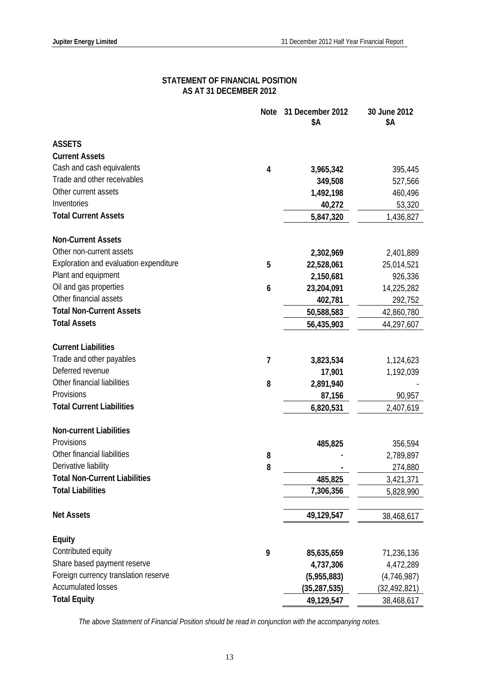### **STATEMENT OF FINANCIAL POSITION AS AT 31 DECEMBER 2012**

|                                        | <b>Note</b>    | 31 December 2012<br>\$Α | 30 June 2012<br>\$Α     |
|----------------------------------------|----------------|-------------------------|-------------------------|
| <b>ASSETS</b>                          |                |                         |                         |
| <b>Current Assets</b>                  |                |                         |                         |
| Cash and cash equivalents              | 4              | 3,965,342               | 395,445                 |
| Trade and other receivables            |                | 349,508                 | 527,566                 |
| Other current assets                   |                | 1,492,198               | 460,496                 |
| Inventories                            |                | 40,272                  | 53,320                  |
| <b>Total Current Assets</b>            |                | 5,847,320               | 1,436,827               |
| <b>Non-Current Assets</b>              |                |                         |                         |
| Other non-current assets               |                | 2,302,969               | 2,401,889               |
| Exploration and evaluation expenditure | 5              | 22,528,061              | 25,014,521              |
| Plant and equipment                    |                | 2,150,681               | 926,336                 |
| Oil and gas properties                 | 6              | 23,204,091              | 14,225,282              |
| Other financial assets                 |                | 402,781                 | 292,752                 |
| <b>Total Non-Current Assets</b>        |                | 50,588,583              | 42,860,780              |
| <b>Total Assets</b>                    |                | 56,435,903              | 44,297,607              |
| <b>Current Liabilities</b>             |                |                         |                         |
| Trade and other payables               | $\overline{7}$ | 3,823,534               | 1,124,623               |
| Deferred revenue                       |                | 17,901                  | 1,192,039               |
| Other financial liabilities            | 8              | 2,891,940               |                         |
| Provisions                             |                | 87,156                  | 90,957                  |
| <b>Total Current Liabilities</b>       |                | 6,820,531               | 2,407,619               |
| <b>Non-current Liabilities</b>         |                |                         |                         |
| Provisions                             |                | 485,825                 | 356,594                 |
| Other financial liabilities            | 8              |                         | 2,789,897               |
| Derivative liability                   | 8              |                         | 274,880                 |
| <b>Total Non-Current Liabilities</b>   |                | 485,825                 | 3,421,371               |
| <b>Total Liabilities</b>               |                | 7,306,356               | 5,828,990               |
| <b>Net Assets</b>                      |                | 49,129,547              | 38,468,617              |
| Equity                                 |                |                         |                         |
| Contributed equity                     | 9              | 85,635,659              |                         |
| Share based payment reserve            |                | 4,737,306               | 71,236,136<br>4,472,289 |
| Foreign currency translation reserve   |                | (5,955,883)             | (4,746,987)             |
| <b>Accumulated losses</b>              |                | (35, 287, 535)          | (32, 492, 821)          |
| <b>Total Equity</b>                    |                | 49,129,547              | 38,468,617              |

*The above Statement of Financial Position should be read in conjunction with the accompanying notes.*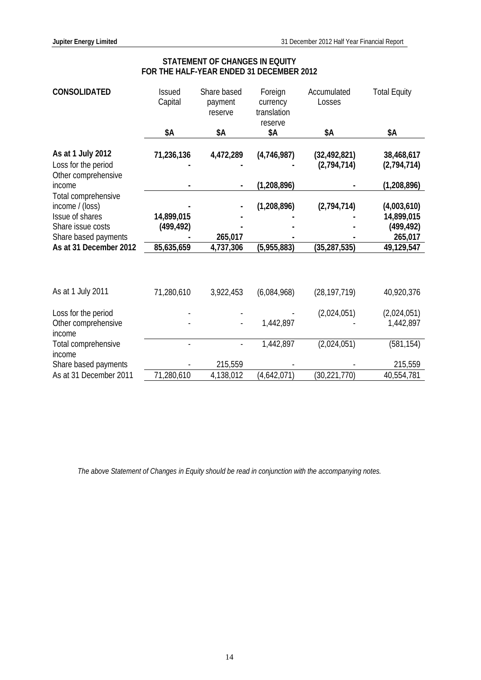| <b>CONSOLIDATED</b>                                             | <b>Issued</b><br>Capital | Share based<br>payment<br>reserve | Foreign<br>currency<br>translation<br>reserve | Accumulated<br>Losses         | <b>Total Equity</b>       |
|-----------------------------------------------------------------|--------------------------|-----------------------------------|-----------------------------------------------|-------------------------------|---------------------------|
|                                                                 | \$Α                      | \$Α                               | \$Α                                           | \$Α                           | \$Α                       |
| As at 1 July 2012<br>Loss for the period<br>Other comprehensive | 71,236,136               | 4,472,289                         | (4,746,987)                                   | (32, 492, 821)<br>(2,794,714) | 38,468,617<br>(2,794,714) |
| income                                                          |                          |                                   | (1, 208, 896)                                 |                               | (1,208,896)               |
| Total comprehensive<br>income / (loss)                          |                          |                                   | (1,208,896)                                   | (2,794,714)                   | (4,003,610)               |
| Issue of shares<br>Share issue costs                            | 14,899,015<br>(499, 492) |                                   |                                               |                               | 14,899,015<br>(499, 492)  |
| Share based payments                                            |                          | 265,017                           |                                               |                               | 265,017                   |
| As at 31 December 2012                                          | 85,635,659               | 4,737,306                         | (5,955,883)                                   | (35, 287, 535)                | 49,129,547                |
|                                                                 |                          |                                   |                                               |                               |                           |
| As at 1 July 2011                                               | 71,280,610               | 3,922,453                         | (6,084,968)                                   | (28, 197, 719)                | 40,920,376                |
| Loss for the period<br>Other comprehensive<br>income            |                          |                                   | 1,442,897                                     | (2,024,051)                   | (2,024,051)<br>1,442,897  |
| Total comprehensive                                             |                          |                                   | 1,442,897                                     | (2,024,051)                   | (581, 154)                |
| income<br>Share based payments                                  |                          | 215,559                           |                                               |                               | 215,559                   |
| As at 31 December 2011                                          | 71,280,610               | 4,138,012                         | (4,642,071)                                   | (30, 221, 770)                | 40,554,781                |

# **STATEMENT OF CHANGES IN EQUITY FOR THE HALF-YEAR ENDED 31 DECEMBER 2012**

*The above Statement of Changes in Equity should be read in conjunction with the accompanying notes.*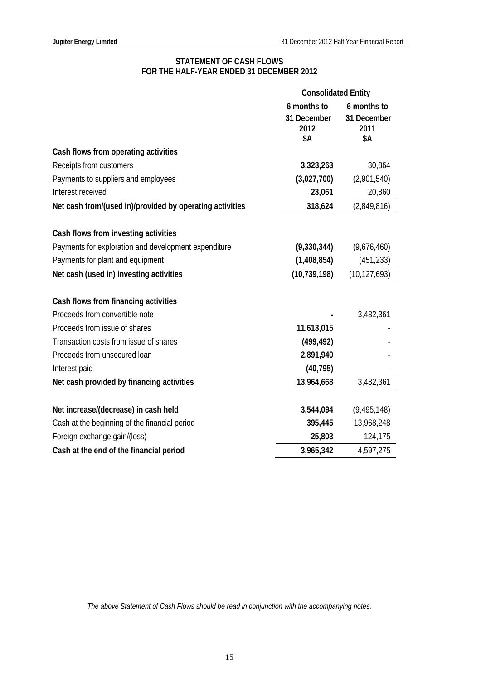# **STATEMENT OF CASH FLOWS FOR THE HALF-YEAR ENDED 31 DECEMBER 2012**

|                                                          | <b>Consolidated Entity</b> |                     |
|----------------------------------------------------------|----------------------------|---------------------|
|                                                          | 6 months to                | 6 months to         |
|                                                          | 31 December<br>2012        | 31 December<br>2011 |
|                                                          | \$Α                        | \$Α                 |
| Cash flows from operating activities                     |                            |                     |
| Receipts from customers                                  | 3,323,263                  | 30,864              |
| Payments to suppliers and employees                      | (3,027,700)                | (2,901,540)         |
| Interest received                                        | 23,061                     | 20,860              |
| Net cash from/(used in)/provided by operating activities | 318,624                    | (2,849,816)         |
|                                                          |                            |                     |
| Cash flows from investing activities                     |                            |                     |
| Payments for exploration and development expenditure     | (9,330,344)                | (9,676,460)         |
| Payments for plant and equipment                         | (1,408,854)                | (451, 233)          |
| Net cash (used in) investing activities                  | (10, 739, 198)             | (10, 127, 693)      |
|                                                          |                            |                     |
| Cash flows from financing activities                     |                            |                     |
| Proceeds from convertible note                           |                            | 3,482,361           |
| Proceeds from issue of shares                            | 11,613,015                 |                     |
| Transaction costs from issue of shares                   | (499, 492)                 |                     |
| Proceeds from unsecured loan                             | 2,891,940                  |                     |
| Interest paid                                            | (40, 795)                  |                     |
| Net cash provided by financing activities                | 13,964,668                 | 3,482,361           |
|                                                          |                            |                     |
| Net increase/(decrease) in cash held                     | 3,544,094                  | (9, 495, 148)       |
| Cash at the beginning of the financial period            | 395,445                    | 13,968,248          |
| Foreign exchange gain/(loss)                             | 25,803                     | 124,175             |
| Cash at the end of the financial period                  | 3,965,342                  | 4,597,275           |

*The above Statement of Cash Flows should be read in conjunction with the accompanying notes.*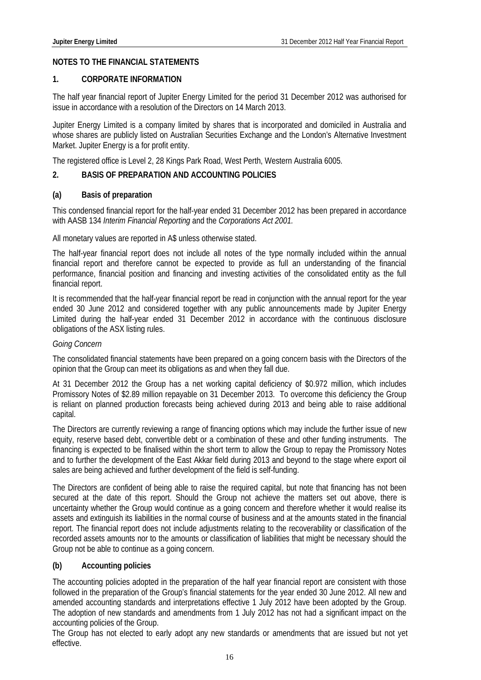## **NOTES TO THE FINANCIAL STATEMENTS**

## **1. CORPORATE INFORMATION**

The half year financial report of Jupiter Energy Limited for the period 31 December 2012 was authorised for issue in accordance with a resolution of the Directors on 14 March 2013.

Jupiter Energy Limited is a company limited by shares that is incorporated and domiciled in Australia and whose shares are publicly listed on Australian Securities Exchange and the London's Alternative Investment Market. Jupiter Energy is a for profit entity.

The registered office is Level 2, 28 Kings Park Road, West Perth, Western Australia 6005.

### **2. BASIS OF PREPARATION AND ACCOUNTING POLICIES**

### **(a) Basis of preparation**

This condensed financial report for the half-year ended 31 December 2012 has been prepared in accordance with AASB 134 *Interim Financial Reporting* and the *Corporations Act 2001.*

All monetary values are reported in A\$ unless otherwise stated.

The half-year financial report does not include all notes of the type normally included within the annual financial report and therefore cannot be expected to provide as full an understanding of the financial performance, financial position and financing and investing activities of the consolidated entity as the full financial report.

It is recommended that the half-year financial report be read in conjunction with the annual report for the year ended 30 June 2012 and considered together with any public announcements made by Jupiter Energy Limited during the half-year ended 31 December 2012 in accordance with the continuous disclosure obligations of the ASX listing rules.

#### *Going Concern*

The consolidated financial statements have been prepared on a going concern basis with the Directors of the opinion that the Group can meet its obligations as and when they fall due.

At 31 December 2012 the Group has a net working capital deficiency of \$0.972 million, which includes Promissory Notes of \$2.89 million repayable on 31 December 2013. To overcome this deficiency the Group is reliant on planned production forecasts being achieved during 2013 and being able to raise additional capital.

The Directors are currently reviewing a range of financing options which may include the further issue of new equity, reserve based debt, convertible debt or a combination of these and other funding instruments. The financing is expected to be finalised within the short term to allow the Group to repay the Promissory Notes and to further the development of the East Akkar field during 2013 and beyond to the stage where export oil sales are being achieved and further development of the field is self-funding.

The Directors are confident of being able to raise the required capital, but note that financing has not been secured at the date of this report. Should the Group not achieve the matters set out above, there is uncertainty whether the Group would continue as a going concern and therefore whether it would realise its assets and extinguish its liabilities in the normal course of business and at the amounts stated in the financial report. The financial report does not include adjustments relating to the recoverability or classification of the recorded assets amounts nor to the amounts or classification of liabilities that might be necessary should the Group not be able to continue as a going concern.

# **(b) Accounting policies**

The accounting policies adopted in the preparation of the half year financial report are consistent with those followed in the preparation of the Group's financial statements for the year ended 30 June 2012. All new and amended accounting standards and interpretations effective 1 July 2012 have been adopted by the Group. The adoption of new standards and amendments from 1 July 2012 has not had a significant impact on the accounting policies of the Group.

The Group has not elected to early adopt any new standards or amendments that are issued but not yet effective.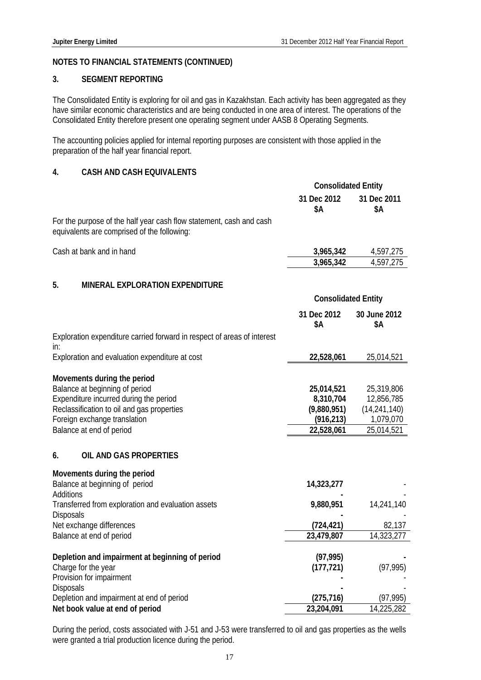## **3. SEGMENT REPORTING**

The Consolidated Entity is exploring for oil and gas in Kazakhstan. Each activity has been aggregated as they have similar economic characteristics and are being conducted in one area of interest. The operations of the Consolidated Entity therefore present one operating segment under AASB 8 Operating Segments.

The accounting policies applied for internal reporting purposes are consistent with those applied in the preparation of the half year financial report.

# **4. CASH AND CASH EQUIVALENTS**

|                                                                                                                                                                                                                         | <b>Consolidated Entity</b>                                         |                                                                       |
|-------------------------------------------------------------------------------------------------------------------------------------------------------------------------------------------------------------------------|--------------------------------------------------------------------|-----------------------------------------------------------------------|
|                                                                                                                                                                                                                         | 31 Dec 2012<br>\$Α                                                 | 31 Dec 2011<br>\$Α                                                    |
| For the purpose of the half year cash flow statement, cash and cash<br>equivalents are comprised of the following:                                                                                                      |                                                                    |                                                                       |
| Cash at bank and in hand                                                                                                                                                                                                | 3,965,342                                                          | 4,597,275                                                             |
|                                                                                                                                                                                                                         | 3,965,342                                                          | 4,597,275                                                             |
| 5.<br><b>MINERAL EXPLORATION EXPENDITURE</b>                                                                                                                                                                            |                                                                    |                                                                       |
|                                                                                                                                                                                                                         | <b>Consolidated Entity</b>                                         |                                                                       |
|                                                                                                                                                                                                                         | 31 Dec 2012<br>\$Α                                                 | 30 June 2012<br>\$Α                                                   |
| Exploration expenditure carried forward in respect of areas of interest<br>in:                                                                                                                                          |                                                                    |                                                                       |
| Exploration and evaluation expenditure at cost                                                                                                                                                                          | 22,528,061                                                         | 25,014,521                                                            |
| Movements during the period<br>Balance at beginning of period<br>Expenditure incurred during the period<br>Reclassification to oil and gas properties<br>Foreign exchange translation<br>Balance at end of period<br>6. | 25,014,521<br>8,310,704<br>(9,880,951)<br>(916, 213)<br>22,528,061 | 25,319,806<br>12,856,785<br>(14, 241, 140)<br>1,079,070<br>25,014,521 |
| OIL AND GAS PROPERTIES                                                                                                                                                                                                  |                                                                    |                                                                       |
| Movements during the period<br>Balance at beginning of period<br>Additions                                                                                                                                              | 14,323,277                                                         |                                                                       |
| Transferred from exploration and evaluation assets<br>Disposals                                                                                                                                                         | 9,880,951                                                          | 14,241,140                                                            |
| Net exchange differences                                                                                                                                                                                                | (724, 421)                                                         | 82,137                                                                |
| Balance at end of period                                                                                                                                                                                                | 23,479,807                                                         | 14,323,277                                                            |
| Depletion and impairment at beginning of period                                                                                                                                                                         | (97, 995)                                                          |                                                                       |
| Charge for the year                                                                                                                                                                                                     | (177, 721)                                                         | (97, 995)                                                             |
| Provision for impairment<br>Disposals                                                                                                                                                                                   |                                                                    |                                                                       |
| Depletion and impairment at end of period                                                                                                                                                                               | (275, 716)                                                         | (97, 995)                                                             |
| Net book value at end of period                                                                                                                                                                                         | 23,204,091                                                         | 14,225,282                                                            |

During the period, costs associated with J-51 and J-53 were transferred to oil and gas properties as the wells were granted a trial production licence during the period.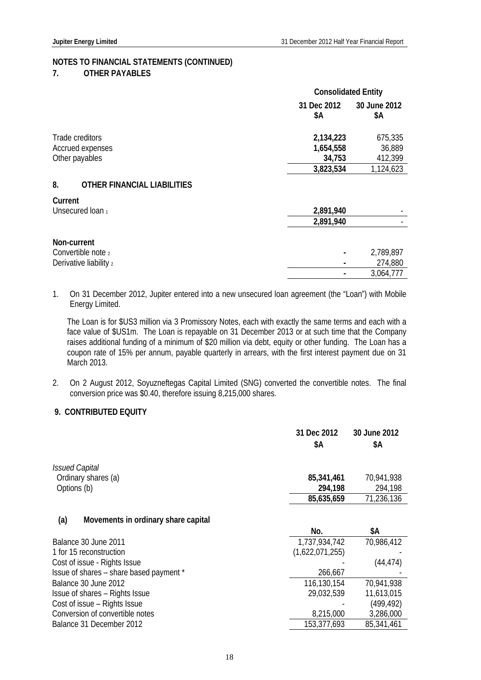#### **7. OTHER PAYABLES**

|                                          | <b>Consolidated Entity</b> |                     |
|------------------------------------------|----------------------------|---------------------|
|                                          | 31 Dec 2012<br>\$Α         | 30 June 2012<br>\$Α |
| Trade creditors                          | 2,134,223                  | 675,335             |
| Accrued expenses                         | 1,654,558                  | 36,889              |
| Other payables                           | 34,753                     | 412,399             |
|                                          | 3,823,534                  | 1,124,623           |
| 8.<br><b>OTHER FINANCIAL LIABILITIES</b> |                            |                     |
| Current                                  |                            |                     |
| Unsecured loan 1                         | 2,891,940                  |                     |
|                                          | 2,891,940                  |                     |
| Non-current                              |                            |                     |
| Convertible note 2                       |                            | 2,789,897           |
| Derivative liability 2                   |                            | 274,880             |
|                                          |                            | 3,064,777           |

1. On 31 December 2012, Jupiter entered into a new unsecured loan agreement (the "Loan") with Mobile Energy Limited.

The Loan is for \$US3 million via 3 Promissory Notes, each with exactly the same terms and each with a face value of \$US1m. The Loan is repayable on 31 December 2013 or at such time that the Company raises additional funding of a minimum of \$20 million via debt, equity or other funding. The Loan has a coupon rate of 15% per annum, payable quarterly in arrears, with the first interest payment due on 31 March 2013.

2. On 2 August 2012, Soyuzneftegas Capital Limited (SNG) converted the convertible notes. The final conversion price was \$0.40, therefore issuing 8,215,000 shares.

# **9. CONTRIBUTED EQUITY**

|                                            | 31 Dec 2012<br>\$A | 30 June 2012<br>\$Α |
|--------------------------------------------|--------------------|---------------------|
| <b>Issued Capital</b>                      |                    |                     |
| Ordinary shares (a)                        | 85,341,461         | 70,941,938          |
| Options (b)                                | 294,198            | 294,198             |
|                                            | 85,635,659         | 71,236,136          |
| (a)<br>Movements in ordinary share capital |                    |                     |
|                                            | No.                | \$Α                 |
| Balance 30 June 2011                       | 1,737,934,742      | 70,986,412          |
| 1 for 15 reconstruction                    | (1,622,071,255)    |                     |
| Cost of issue - Rights Issue               |                    | (44, 474)           |
| Issue of shares – share based payment *    | 266,667            |                     |
| Balance 30 June 2012                       | 116,130,154        | 70,941,938          |
| Issue of shares - Rights Issue             | 29,032,539         | 11,613,015          |
| Cost of issue – Rights Issue               |                    | (499, 492)          |
| Conversion of convertible notes            | 8,215,000          | 3,286,000           |
| Balance 31 December 2012                   | 153,377,693        | 85,341,461          |
|                                            |                    |                     |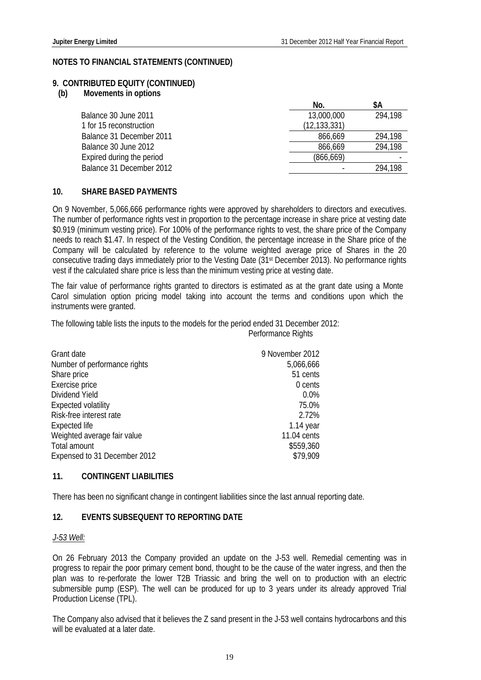#### **9. CONTRIBUTED EQUITY (CONTINUED)**

**(b) Movements in options** 

|                           | No.            | \$A     |
|---------------------------|----------------|---------|
| Balance 30 June 2011      | 13,000,000     | 294,198 |
| 1 for 15 reconstruction   | (12, 133, 331) |         |
| Balance 31 December 2011  | 866,669        | 294,198 |
| Balance 30 June 2012      | 866,669        | 294,198 |
| Expired during the period | (866, 669)     |         |
| Balance 31 December 2012  |                | 294.198 |

#### **10. SHARE BASED PAYMENTS**

On 9 November, 5,066,666 performance rights were approved by shareholders to directors and executives. The number of performance rights vest in proportion to the percentage increase in share price at vesting date \$0.919 (minimum vesting price). For 100% of the performance rights to vest, the share price of the Company needs to reach \$1.47. In respect of the Vesting Condition, the percentage increase in the Share price of the Company will be calculated by reference to the volume weighted average price of Shares in the 20 consecutive trading days immediately prior to the Vesting Date (31st December 2013). No performance rights vest if the calculated share price is less than the minimum vesting price at vesting date.

The fair value of performance rights granted to directors is estimated as at the grant date using a Monte Carol simulation option pricing model taking into account the terms and conditions upon which the instruments were granted.

The following table lists the inputs to the models for the period ended 31 December 2012:

Performance Rights

| Grant date                   | 9 November 2012 |
|------------------------------|-----------------|
| Number of performance rights | 5,066,666       |
| Share price                  | 51 cents        |
| Exercise price               | 0 cents         |
| Dividend Yield               | 0.0%            |
| <b>Expected volatility</b>   | 75.0%           |
| Risk-free interest rate      | 2.72%           |
| Expected life                | $1.14$ year     |
| Weighted average fair value  | 11.04 cents     |
| Total amount                 | \$559,360       |
| Expensed to 31 December 2012 | \$79.909        |

#### **11. CONTINGENT LIABILITIES**

There has been no significant change in contingent liabilities since the last annual reporting date.

#### **12. EVENTS SUBSEQUENT TO REPORTING DATE**

#### *J-53 Well:*

On 26 February 2013 the Company provided an update on the J-53 well. Remedial cementing was in progress to repair the poor primary cement bond, thought to be the cause of the water ingress, and then the plan was to re-perforate the lower T2B Triassic and bring the well on to production with an electric submersible pump (ESP). The well can be produced for up to 3 years under its already approved Trial Production License (TPL).

The Company also advised that it believes the Z sand present in the J-53 well contains hydrocarbons and this will be evaluated at a later date.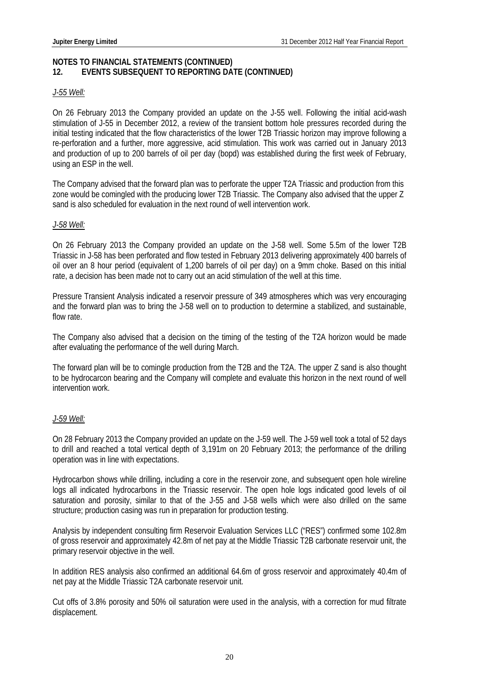## **NOTES TO FINANCIAL STATEMENTS (CONTINUED) 12. EVENTS SUBSEQUENT TO REPORTING DATE (CONTINUED)**

#### *J-55 Well:*

On 26 February 2013 the Company provided an update on the J-55 well. Following the initial acid-wash stimulation of J-55 in December 2012, a review of the transient bottom hole pressures recorded during the initial testing indicated that the flow characteristics of the lower T2B Triassic horizon may improve following a re-perforation and a further, more aggressive, acid stimulation. This work was carried out in January 2013 and production of up to 200 barrels of oil per day (bopd) was established during the first week of February, using an ESP in the well.

The Company advised that the forward plan was to perforate the upper T2A Triassic and production from this zone would be comingled with the producing lower T2B Triassic. The Company also advised that the upper Z sand is also scheduled for evaluation in the next round of well intervention work.

### *J-58 Well:*

On 26 February 2013 the Company provided an update on the J-58 well. Some 5.5m of the lower T2B Triassic in J-58 has been perforated and flow tested in February 2013 delivering approximately 400 barrels of oil over an 8 hour period (equivalent of 1,200 barrels of oil per day) on a 9mm choke. Based on this initial rate, a decision has been made not to carry out an acid stimulation of the well at this time.

Pressure Transient Analysis indicated a reservoir pressure of 349 atmospheres which was very encouraging and the forward plan was to bring the J-58 well on to production to determine a stabilized, and sustainable, flow rate.

The Company also advised that a decision on the timing of the testing of the T2A horizon would be made after evaluating the performance of the well during March.

The forward plan will be to comingle production from the T2B and the T2A. The upper Z sand is also thought to be hydrocarcon bearing and the Company will complete and evaluate this horizon in the next round of well intervention work.

# *J-59 Well:*

On 28 February 2013 the Company provided an update on the J-59 well. The J-59 well took a total of 52 days to drill and reached a total vertical depth of 3,191m on 20 February 2013; the performance of the drilling operation was in line with expectations.

Hydrocarbon shows while drilling, including a core in the reservoir zone, and subsequent open hole wireline logs all indicated hydrocarbons in the Triassic reservoir. The open hole logs indicated good levels of oil saturation and porosity, similar to that of the J-55 and J-58 wells which were also drilled on the same structure; production casing was run in preparation for production testing.

Analysis by independent consulting firm Reservoir Evaluation Services LLC ("RES") confirmed some 102.8m of gross reservoir and approximately 42.8m of net pay at the Middle Triassic T2B carbonate reservoir unit, the primary reservoir objective in the well.

In addition RES analysis also confirmed an additional 64.6m of gross reservoir and approximately 40.4m of net pay at the Middle Triassic T2A carbonate reservoir unit.

Cut offs of 3.8% porosity and 50% oil saturation were used in the analysis, with a correction for mud filtrate displacement.